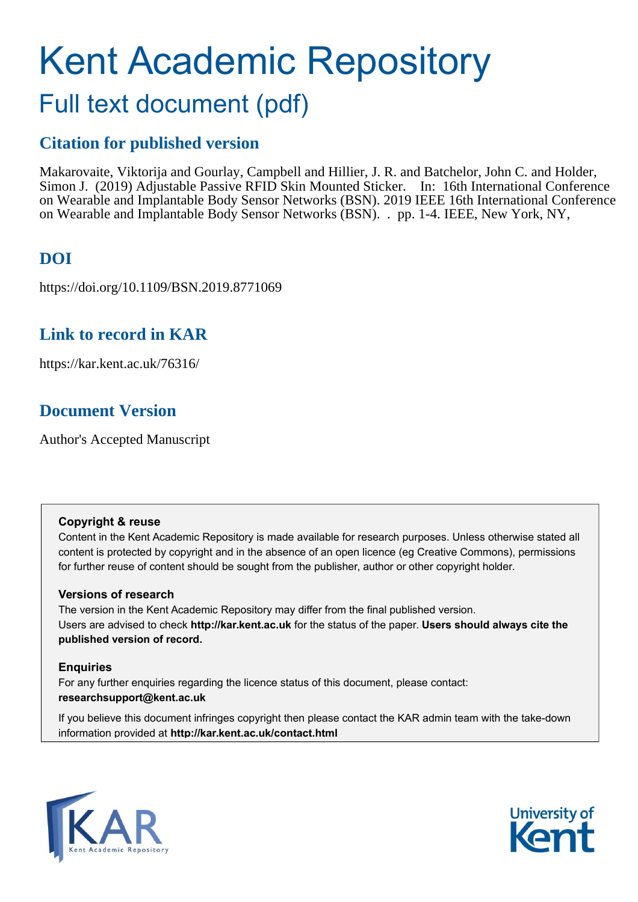# Kent Academic Repository

# Full text document (pdf)

# **Citation for published version**

Makarovaite, Viktorija and Gourlay, Campbell and Hillier, J. R. and Batchelor, John C. and Holder, Simon J. (2019) Adjustable Passive RFID Skin Mounted Sticker. In: 16th International Conference on Wearable and Implantable Body Sensor Networks (BSN). 2019 IEEE 16th International Conference on Wearable and Implantable Body Sensor Networks (BSN). . pp. 1-4. IEEE, New York, NY,

# **DOI**

https://doi.org/10.1109/BSN.2019.8771069

### **Link to record in KAR**

https://kar.kent.ac.uk/76316/

# **Document Version**

Author's Accepted Manuscript

### **Copyright & reuse**

Content in the Kent Academic Repository is made available for research purposes. Unless otherwise stated all content is protected by copyright and in the absence of an open licence (eg Creative Commons), permissions for further reuse of content should be sought from the publisher, author or other copyright holder.

### **Versions of research**

The version in the Kent Academic Repository may differ from the final published version. Users are advised to check **http://kar.kent.ac.uk** for the status of the paper. **Users should always cite the published version of record.**

### **Enquiries**

For any further enquiries regarding the licence status of this document, please contact: **researchsupport@kent.ac.uk**

If you believe this document infringes copyright then please contact the KAR admin team with the take-down information provided at **http://kar.kent.ac.uk/contact.html**



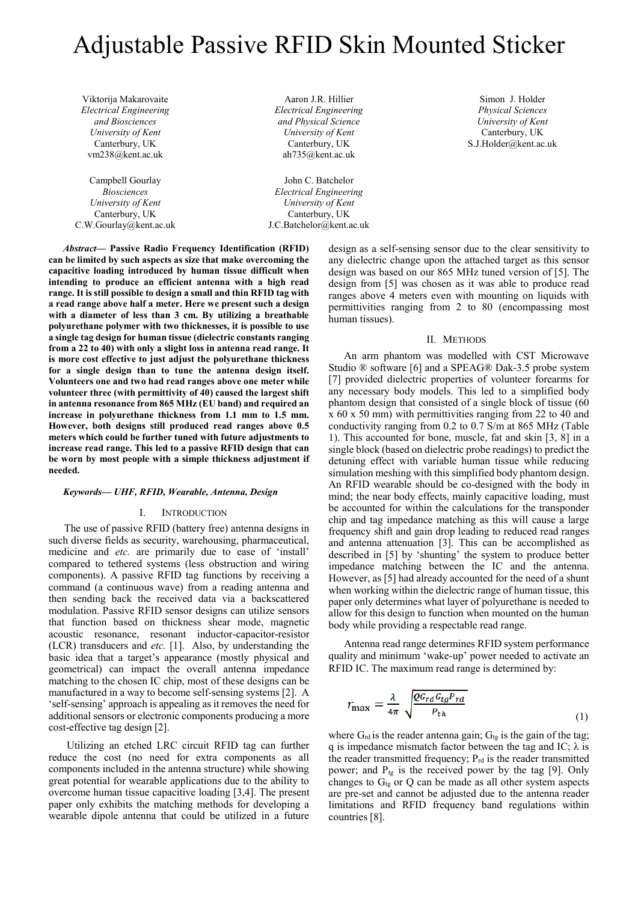# Adjustable Passive RFID Skin Mounted Sticker

Viktorija Makarovaite *Electrical Engineering and Biosciences University of Kent* Canterbury, UK vm238@kent.ac.uk

Campbell Gourlay *Biosciences University of Kent* Canterbury, UK C.W.Gourlay@kent.ac.uk

Aaron J.R. Hillier *Electrical Engineering and Physical Science University of Kent* Canterbury, UK ah735@kent.ac.uk

John C. Batchelor *Electrical Engineering University of Kent* Canterbury, UK J.C.Batchelor@kent.ac.uk

human tissues).

*Abstract***— Passive Radio Frequency Identification (RFID) can be limited by such aspects as size that make overcoming the capacitive loading introduced by human tissue difficult when intending to produce an efficient antenna with a high read range. It is still possible to design a small and thin RFID tag with a read range above half a meter. Here we present such a design with a diameter of less than 3 cm. By utilizing a breathable polyurethane polymer with two thicknesses, it is possible to use a single tag design for human tissue (dielectric constants ranging from a 22 to 40) with only a slight loss in antenna read range. It is more cost effective to just adjust the polyurethane thickness for a single design than to tune the antenna design itself. Volunteers one and two had read ranges above one meter while volunteer three (with permittivity of 40) caused the largest shift in antenna resonance from 865 MHz (EU band) and required an increase in polyurethane thickness from 1.1 mm to 1.5 mm. However, both designs still produced read ranges above 0.5 meters which could be further tuned with future adjustments to increase read range. This led to a passive RFID design that can be worn by most people with a simple thickness adjustment if needed.**

### *Keywords— UHF, RFID, Wearable, Antenna, Design*

### I. INTRODUCTION

The use of passive RFID (battery free) antenna designs in such diverse fields as security, warehousing, pharmaceutical, medicine and *etc.* are primarily due to ease of 'install' compared to tethered systems (less obstruction and wiring components). A passive RFID tag functions by receiving a command (a continuous wave) from a reading antenna and then sending back the received data via a backscattered modulation. Passive RFID sensor designs can utilize sensors that function based on thickness shear mode, magnetic acoustic resonance, resonant inductor-capacitor-resistor (LCR) transducers and *etc.* [1]. Also, by understanding the basic idea that a target's appearance (mostly physical and geometrical) can impact the overall antenna impedance matching to the chosen IC chip, most of these designs can be manufactured in a way to become self-sensing systems [2]. A 'self-sensing' approach is appealing as it removes the need for additional sensors or electronic components producing a more cost-effective tag design [2].

Utilizing an etched LRC circuit RFID tag can further reduce the cost (no need for extra components as all components included in the antenna structure) while showing great potential for wearable applications due to the ability to overcome human tissue capacitive loading [3,4]. The present paper only exhibits the matching methods for developing a wearable dipole antenna that could be utilized in a future design as a self-sensing sensor due to the clear sensitivity to any dielectric change upon the attached target as this sensor design was based on our 865 MHz tuned version of [5]. The design from [5] was chosen as it was able to produce read ranges above 4 meters even with mounting on liquids with

Simon J. Holder *Physical Sciences University of Kent* Canterbury, UK S.J.Holder@kent.ac.uk

#### II. METHODS

permittivities ranging from 2 to 80 (encompassing most

An arm phantom was modelled with CST Microwave Studio ® software [6] and a SPEAG® Dak-3.5 probe system [7] provided dielectric properties of volunteer forearms for any necessary body models. This led to a simplified body phantom design that consisted of a single block of tissue (60 x 60 x 50 mm) with permittivities ranging from 22 to 40 and conductivity ranging from 0.2 to 0.7 S/m at 865 MHz (Table 1). This accounted for bone, muscle, fat and skin [3, 8] in a single block (based on dielectric probe readings) to predict the detuning effect with variable human tissue while reducing simulation meshing with this simplified body phantom design. An RFID wearable should be co-designed with the body in mind; the near body effects, mainly capacitive loading, must be accounted for within the calculations for the transponder chip and tag impedance matching as this will cause a large frequency shift and gain drop leading to reduced read ranges and antenna attenuation [3]. This can be accomplished as described in [5] by 'shunting' the system to produce better impedance matching between the IC and the antenna. However, as [5] had already accounted for the need of a shunt when working within the dielectric range of human tissue, this paper only determines what layer of polyurethane is needed to allow for this design to function when mounted on the human body while providing a respectable read range.

Antenna read range determines RFID system performance quality and minimum 'wake-up' power needed to activate an RFID IC. The maximum read range is determined by:

$$
r_{\text{max}} = \frac{\lambda}{4\pi} \sqrt{\frac{QG_{rd}G_{tg}P_{rd}}{P_{th}}}
$$
(1)

where  $G_{rd}$  is the reader antenna gain;  $G_{tg}$  is the gain of the tag; q is impedance mismatch factor between the tag and IC;  $\lambda$  is the reader transmitted frequency;  $P_{rd}$  is the reader transmitted power; and  $P_{tg}$  is the received power by the tag [9]. Only changes to  $G_{tg}$  or  $Q$  can be made as all other system aspects are pre-set and cannot be adjusted due to the antenna reader limitations and RFID frequency band regulations within countries [8].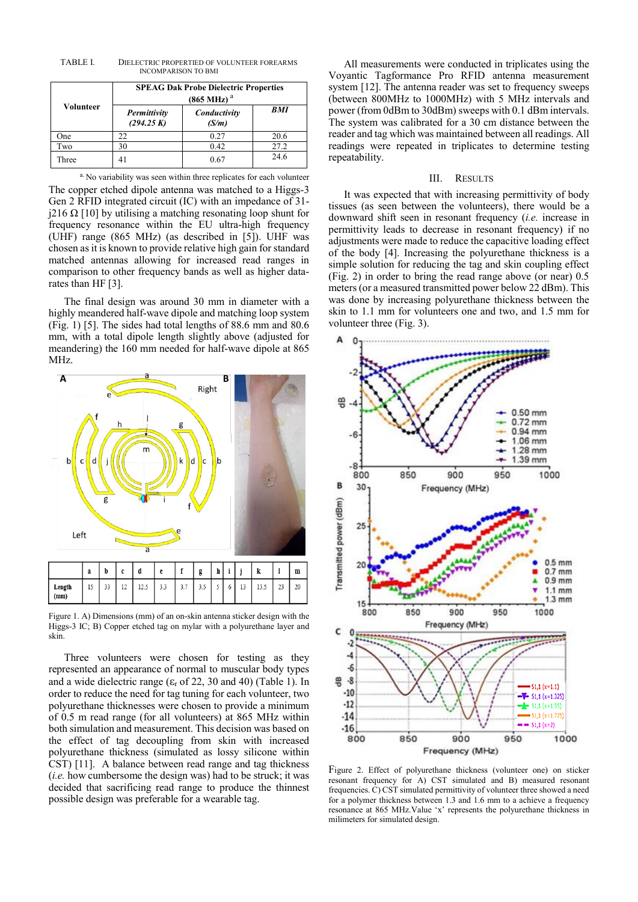TABLE I. DIELECTRIC PROPERTIED OF VOLUNTEER FOREARMS INCOMPARISON TO BMI

| Volunteer | <b>SPEAG Dak Probe Dielectric Properties</b><br>$(865 \text{ MHz})$ <sup>a</sup> |                       |            |
|-----------|----------------------------------------------------------------------------------|-----------------------|------------|
|           | Permittivity<br>(294.25 K)                                                       | Conductivity<br>(S/m) | <b>BMI</b> |
| One       | 22.                                                                              | 0.27                  | 20.6       |
| Two       | 30                                                                               | 0.42                  | 27.2       |
| Three     | 41                                                                               | 0.67                  | 24.6       |

a. No variability was seen within three replicates for each volunteer The copper etched dipole antenna was matched to a Higgs-3 Gen 2 RFID integrated circuit (IC) with an impedance of 31 j216  $\Omega$  [10] by utilising a matching resonating loop shunt for frequency resonance within the EU ultra-high frequency (UHF) range (865 MHz) (as described in [5]). UHF was chosen as it is known to provide relative high gain for standard matched antennas allowing for increased read ranges in comparison to other frequency bands as well as higher datarates than HF [3].

The final design was around 30 mm in diameter with a highly meandered half-wave dipole and matching loop system (Fig. 1) [5]. The sides had total lengths of 88.6 mm and 80.6 mm, with a total dipole length slightly above (adjusted for meandering) the 160 mm needed for half-wave dipole at 865 MHz.



Figure 1. A) Dimensions (mm) of an on-skin antenna sticker design with the Higgs-3 IC; B) Copper etched tag on mylar with a polyurethane layer and skin.

Three volunteers were chosen for testing as they represented an appearance of normal to muscular body types and a wide dielectric range ( $\varepsilon_r$  of 22, 30 and 40) (Table 1). In order to reduce the need for tag tuning for each volunteer, two polyurethane thicknesses were chosen to provide a minimum of 0.5 m read range (for all volunteers) at 865 MHz within both simulation and measurement. This decision was based on the effect of tag decoupling from skin with increased polyurethane thickness (simulated as lossy silicone within CST) [11]. A balance between read range and tag thickness (*i.e.* how cumbersome the design was) had to be struck; it was decided that sacrificing read range to produce the thinnest possible design was preferable for a wearable tag.

All measurements were conducted in triplicates using the Voyantic Tagformance Pro RFID antenna measurement system [12]. The antenna reader was set to frequency sweeps (between 800MHz to 1000MHz) with 5 MHz intervals and power (from 0dBm to 30dBm) sweeps with 0.1 dBm intervals. The system was calibrated for a 30 cm distance between the reader and tag which was maintained between all readings. All readings were repeated in triplicates to determine testing repeatability.

### III. RESULTS

It was expected that with increasing permittivity of body tissues (as seen between the volunteers), there would be a downward shift seen in resonant frequency (*i.e.* increase in permittivity leads to decrease in resonant frequency) if no adjustments were made to reduce the capacitive loading effect of the body [4]. Increasing the polyurethane thickness is a simple solution for reducing the tag and skin coupling effect (Fig. 2) in order to bring the read range above (or near) 0.5 meters (or a measured transmitted power below 22 dBm). This was done by increasing polyurethane thickness between the skin to 1.1 mm for volunteers one and two, and 1.5 mm for volunteer three (Fig. 3).



Figure 2. Effect of polyurethane thickness (volunteer one) on sticker resonant frequency for A) CST simulated and B) measured resonant frequencies. C) CST simulated permittivity of volunteer three showed a need for a polymer thickness between 1.3 and 1.6 mm to a achieve a frequency resonance at 865 MHz.Value 'x' represents the polyurethane thickness in milimeters for simulated design.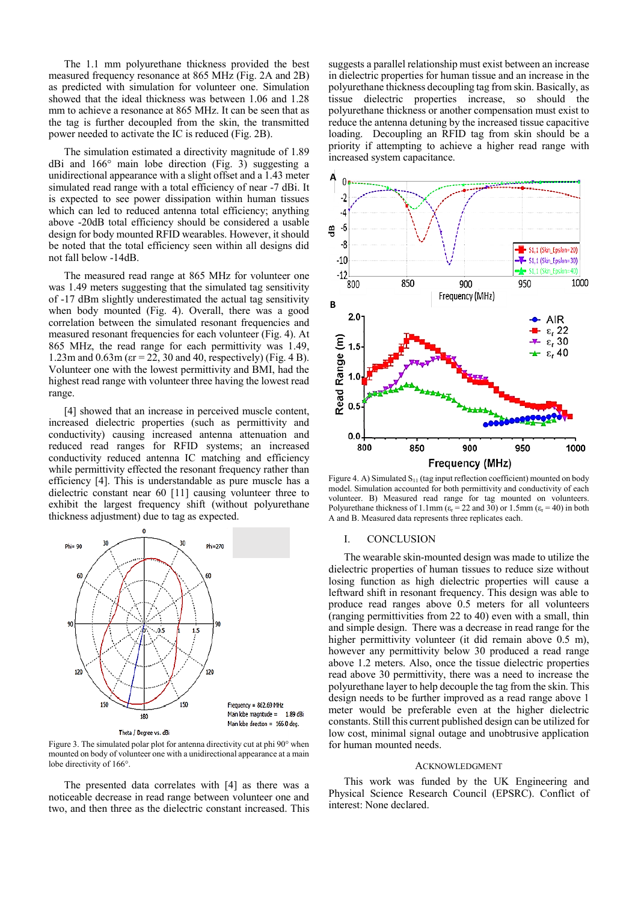The 1.1 mm polyurethane thickness provided the best measured frequency resonance at 865 MHz (Fig. 2A and 2B) as predicted with simulation for volunteer one. Simulation showed that the ideal thickness was between 1.06 and 1.28 mm to achieve a resonance at 865 MHz. It can be seen that as the tag is further decoupled from the skin, the transmitted power needed to activate the IC is reduced (Fig. 2B).

The simulation estimated a directivity magnitude of 1.89 dBi and 166° main lobe direction (Fig. 3) suggesting a unidirectional appearance with a slight offset and a 1.43 meter simulated read range with a total efficiency of near -7 dBi. It is expected to see power dissipation within human tissues which can led to reduced antenna total efficiency; anything above -20dB total efficiency should be considered a usable design for body mounted RFID wearables. However, it should be noted that the total efficiency seen within all designs did not fall below -14dB.

The measured read range at 865 MHz for volunteer one was 1.49 meters suggesting that the simulated tag sensitivity of -17 dBm slightly underestimated the actual tag sensitivity when body mounted (Fig. 4). Overall, there was a good correlation between the simulated resonant frequencies and measured resonant frequencies for each volunteer (Fig. 4). At 865 MHz, the read range for each permittivity was 1.49, 1.23m and 0.63m (εr = 22, 30 and 40, respectively) (Fig. 4 B). Volunteer one with the lowest permittivity and BMI, had the highest read range with volunteer three having the lowest read range.

[4] showed that an increase in perceived muscle content, increased dielectric properties (such as permittivity and conductivity) causing increased antenna attenuation and reduced read ranges for RFID systems; an increased conductivity reduced antenna IC matching and efficiency while permittivity effected the resonant frequency rather than efficiency [4]. This is understandable as pure muscle has a dielectric constant near 60 [11] causing volunteer three to exhibit the largest frequency shift (without polyurethane thickness adjustment) due to tag as expected.



Figure 3. The simulated polar plot for antenna directivity cut at phi 90° when mounted on body of volunteer one with a unidirectional appearance at a main lobe directivity of 166°.

The presented data correlates with [4] as there was a noticeable decrease in read range between volunteer one and two, and then three as the dielectric constant increased. This

suggests a parallel relationship must exist between an increase in dielectric properties for human tissue and an increase in the polyurethane thickness decoupling tag from skin. Basically, as tissue dielectric properties increase, so should the polyurethane thickness or another compensation must exist to reduce the antenna detuning by the increased tissue capacitive loading. Decoupling an RFID tag from skin should be a priority if attempting to achieve a higher read range with increased system capacitance.



Figure 4. A) Simulated  $S_{11}$  (tag input reflection coefficient) mounted on body model. Simulation accounted for both permittivity and conductivity of each volunteer. B) Measured read range for tag mounted on volunteers. Polyurethane thickness of 1.1mm ( $\varepsilon_r$  = 22 and 30) or 1.5mm ( $\varepsilon_r$  = 40) in both A and B. Measured data represents three replicates each.

### I. CONCLUSION

The wearable skin-mounted design was made to utilize the dielectric properties of human tissues to reduce size without losing function as high dielectric properties will cause a leftward shift in resonant frequency. This design was able to produce read ranges above 0.5 meters for all volunteers (ranging permittivities from 22 to 40) even with a small, thin and simple design. There was a decrease in read range for the higher permittivity volunteer (it did remain above 0.5 m), however any permittivity below 30 produced a read range above 1.2 meters. Also, once the tissue dielectric properties read above 30 permittivity, there was a need to increase the polyurethane layer to help decouple the tag from the skin. This design needs to be further improved as a read range above 1 meter would be preferable even at the higher dielectric constants. Still this current published design can be utilized for low cost, minimal signal outage and unobtrusive application for human mounted needs.

### ACKNOWLEDGMENT

This work was funded by the UK Engineering and Physical Science Research Council (EPSRC). Conflict of interest: None declared.